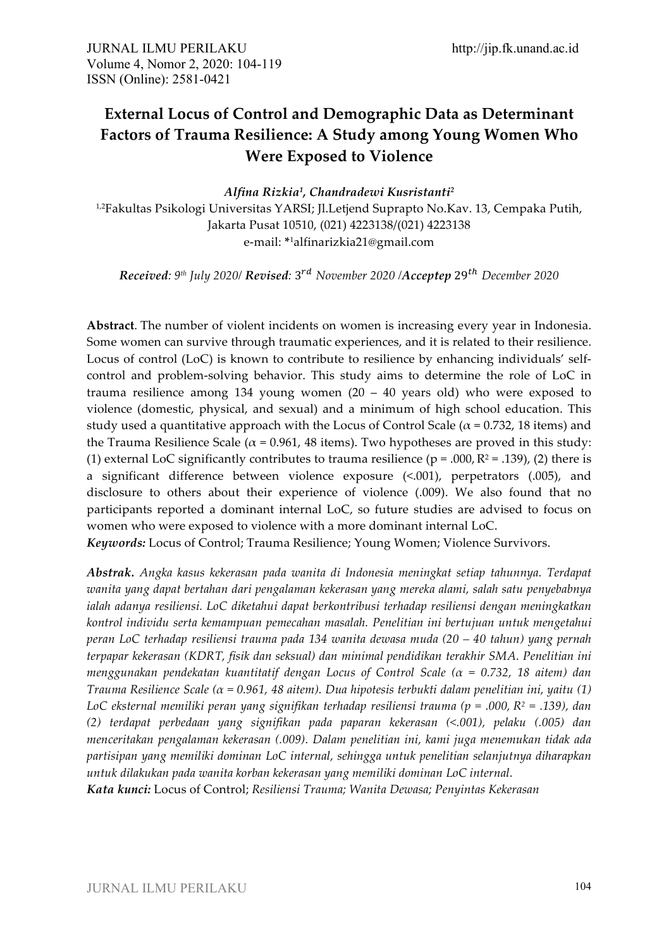# **External Locus of Control and Demographic Data as Determinant Factors of Trauma Resilience: A Study among Young Women Who Were Exposed to Violence**

*Alfina Rizkia1, Chandradewi Kusristanti2* <sup>1,2</sup>Fakultas Psikologi Universitas YARSI; Jl.Letjend Suprapto No.Kav. 13, Cempaka Putih, Jakarta Pusat 10510, (021) 4223138/(021) 4223138 e-mail: **\***1alfinarizkia21@gmail.com

*Received: 9th July 2020/ Revised:* 3"# *November 2020 /Acceptep* 29&' *December 2020*

**Abstract**. The number of violent incidents on women is increasing every year in Indonesia. Some women can survive through traumatic experiences, and it is related to their resilience. Locus of control (LoC) is known to contribute to resilience by enhancing individuals' selfcontrol and problem-solving behavior. This study aims to determine the role of LoC in trauma resilience among 134 young women (20 – 40 years old) who were exposed to violence (domestic, physical, and sexual) and a minimum of high school education. This study used a quantitative approach with the Locus of Control Scale ( $\alpha$  = 0.732, 18 items) and the Trauma Resilience Scale ( $\alpha$  = 0.961, 48 items). Two hypotheses are proved in this study: (1) external LoC significantly contributes to trauma resilience ( $p = .000$ ,  $R^2 = .139$ ), (2) there is a significant difference between violence exposure (<.001), perpetrators (.005), and disclosure to others about their experience of violence (.009). We also found that no participants reported a dominant internal LoC, so future studies are advised to focus on women who were exposed to violence with a more dominant internal LoC.

*Keywords:* Locus of Control; Trauma Resilience; Young Women; Violence Survivors.

*Abstrak. Angka kasus kekerasan pada wanita di Indonesia meningkat setiap tahunnya. Terdapat wanita yang dapat bertahan dari pengalaman kekerasan yang mereka alami, salah satu penyebabnya ialah adanya resiliensi. LoC diketahui dapat berkontribusi terhadap resiliensi dengan meningkatkan kontrol individu serta kemampuan pemecahan masalah. Penelitian ini bertujuan untuk mengetahui peran LoC terhadap resiliensi trauma pada 134 wanita dewasa muda (20 – 40 tahun) yang pernah terpapar kekerasan (KDRT, fisik dan seksual) dan minimal pendidikan terakhir SMA. Penelitian ini menggunakan pendekatan kuantitatif dengan Locus of Control Scale (α = 0.732, 18 aitem) dan Trauma Resilience Scale (α = 0.961, 48 aitem). Dua hipotesis terbukti dalam penelitian ini, yaitu (1) LoC eksternal memiliki peran yang signifikan terhadap resiliensi trauma (p = .000, R2 = .139), dan (2) terdapat perbedaan yang signifikan pada paparan kekerasan (<.001), pelaku (.005) dan menceritakan pengalaman kekerasan (.009). Dalam penelitian ini, kami juga menemukan tidak ada partisipan yang memiliki dominan LoC internal, sehingga untuk penelitian selanjutnya diharapkan untuk dilakukan pada wanita korban kekerasan yang memiliki dominan LoC internal.*

*Kata kunci:* Locus of Control; *Resiliensi Trauma; Wanita Dewasa; Penyintas Kekerasan*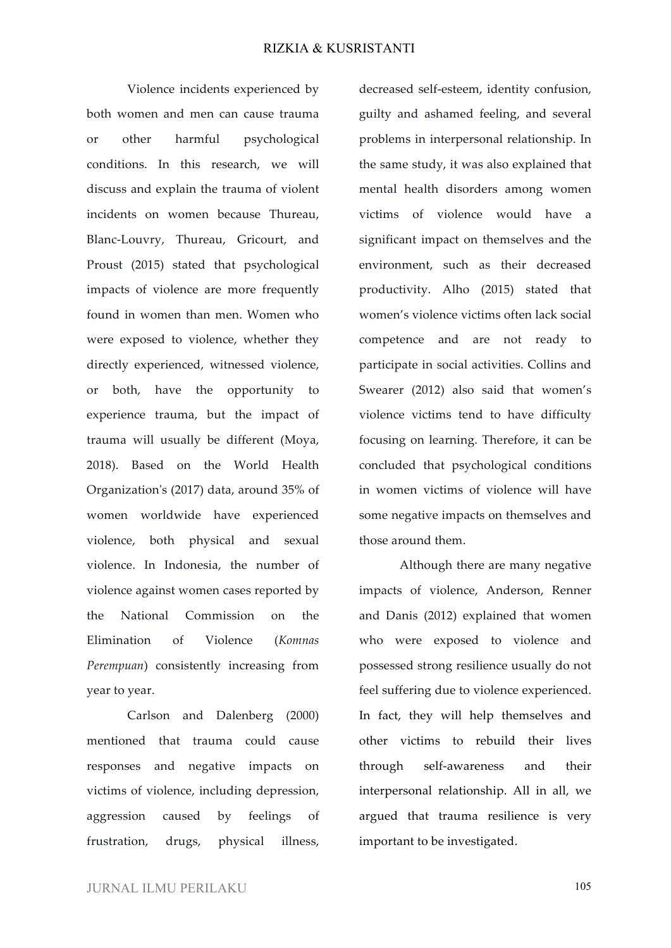Violence incidents experienced by both women and men can cause trauma or other harmful psychological conditions. In this research, we will discuss and explain the trauma of violent incidents on women because Thureau, Blanc-Louvry, Thureau, Gricourt, and Proust (2015) stated that psychological impacts of violence are more frequently found in women than men. Women who were exposed to violence, whether they directly experienced, witnessed violence, or both, have the opportunity to experience trauma, but the impact of trauma will usually be different (Moya, 2018). Based on the World Health Organization's (2017) data, around 35% of women worldwide have experienced violence, both physical and sexual violence. In Indonesia, the number of violence against women cases reported by the National Commission on the Elimination of Violence (*Komnas Perempuan*) consistently increasing from year to year.

Carlson and Dalenberg (2000) mentioned that trauma could cause responses and negative impacts on victims of violence, including depression, aggression caused by feelings of frustration, drugs, physical illness,

decreased self-esteem, identity confusion, guilty and ashamed feeling, and several problems in interpersonal relationship. In the same study, it was also explained that mental health disorders among women victims of violence would have a significant impact on themselves and the environment, such as their decreased productivity. Alho (2015) stated that women's violence victims often lack social competence and are not ready to participate in social activities. Collins and Swearer (2012) also said that women's violence victims tend to have difficulty focusing on learning. Therefore, it can be concluded that psychological conditions in women victims of violence will have some negative impacts on themselves and those around them.

Although there are many negative impacts of violence, Anderson, Renner and Danis (2012) explained that women who were exposed to violence and possessed strong resilience usually do not feel suffering due to violence experienced. In fact, they will help themselves and other victims to rebuild their lives through self-awareness and their interpersonal relationship. All in all, we argued that trauma resilience is very important to be investigated.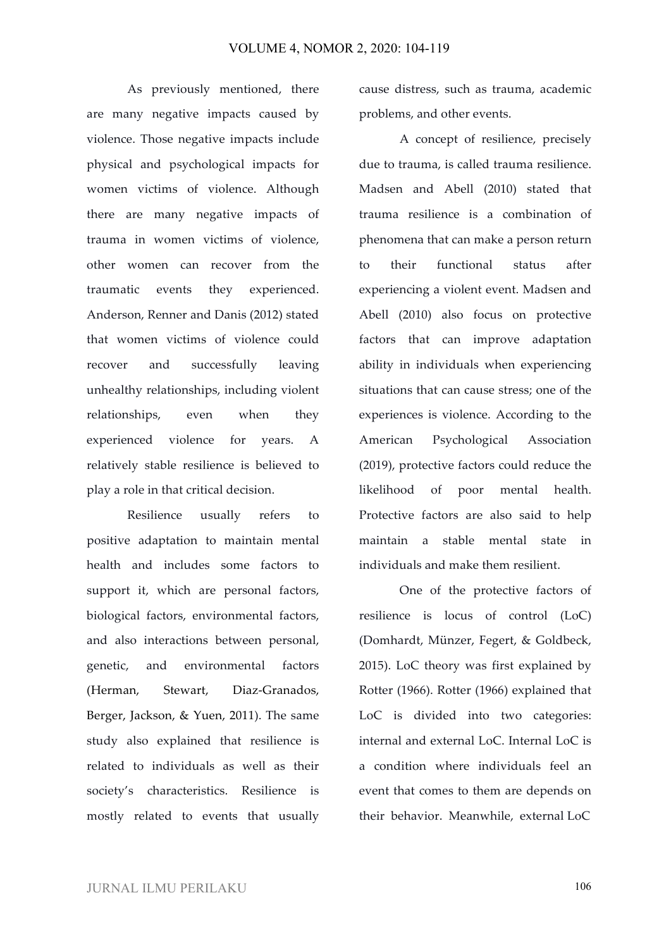As previously mentioned, there are many negative impacts caused by violence. Those negative impacts include physical and psychological impacts for women victims of violence. Although there are many negative impacts of trauma in women victims of violence, other women can recover from the traumatic events they experienced. Anderson, Renner and Danis (2012) stated that women victims of violence could recover and successfully leaving unhealthy relationships, including violent relationships, even when they experienced violence for years. A relatively stable resilience is believed to play a role in that critical decision.

Resilience usually refers to positive adaptation to maintain mental health and includes some factors to support it, which are personal factors, biological factors, environmental factors, and also interactions between personal, genetic, and environmental factors (Herman, Stewart, Diaz-Granados, Berger, Jackson, & Yuen, 2011). The same study also explained that resilience is related to individuals as well as their society's characteristics. Resilience is mostly related to events that usually cause distress, such as trauma, academic problems, and other events.

A concept of resilience, precisely due to trauma, is called trauma resilience. Madsen and Abell (2010) stated that trauma resilience is a combination of phenomena that can make a person return to their functional status after experiencing a violent event. Madsen and Abell (2010) also focus on protective factors that can improve adaptation ability in individuals when experiencing situations that can cause stress; one of the experiences is violence. According to the American Psychological Association (2019), protective factors could reduce the likelihood of poor mental health. Protective factors are also said to help maintain a stable mental state in individuals and make them resilient.

One of the protective factors of resilience is locus of control (LoC) (Domhardt, Münzer, Fegert, & Goldbeck, 2015). LoC theory was first explained by Rotter (1966). Rotter (1966) explained that LoC is divided into two categories: internal and external LoC. Internal LoC is a condition where individuals feel an event that comes to them are depends on their behavior. Meanwhile, external LoC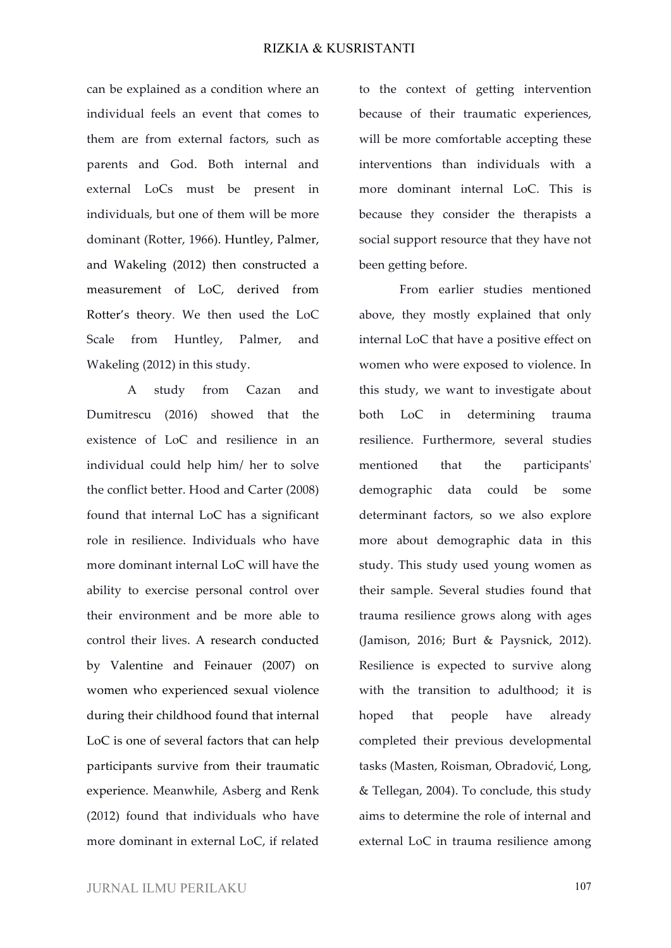can be explained as a condition where an individual feels an event that comes to them are from external factors, such as parents and God. Both internal and external LoCs must be present in individuals, but one of them will be more dominant (Rotter, 1966). Huntley, Palmer, and Wakeling (2012) then constructed a measurement of LoC, derived from Rotter's theory. We then used the LoC Scale from Huntley, Palmer, and Wakeling (2012) in this study.

A study from Cazan and Dumitrescu (2016) showed that the existence of LoC and resilience in an individual could help him/ her to solve the conflict better. Hood and Carter (2008) found that internal LoC has a significant role in resilience. Individuals who have more dominant internal LoC will have the ability to exercise personal control over their environment and be more able to control their lives. A research conducted by Valentine and Feinauer (2007) on women who experienced sexual violence during their childhood found that internal LoC is one of several factors that can help participants survive from their traumatic experience. Meanwhile, Asberg and Renk (2012) found that individuals who have more dominant in external LoC, if related

to the context of getting intervention because of their traumatic experiences, will be more comfortable accepting these interventions than individuals with a more dominant internal LoC. This is because they consider the therapists a social support resource that they have not been getting before.

From earlier studies mentioned above, they mostly explained that only internal LoC that have a positive effect on women who were exposed to violence. In this study, we want to investigate about both LoC in determining trauma resilience. Furthermore, several studies mentioned that the participants' demographic data could be some determinant factors, so we also explore more about demographic data in this study. This study used young women as their sample. Several studies found that trauma resilience grows along with ages (Jamison, 2016; Burt & Paysnick, 2012). Resilience is expected to survive along with the transition to adulthood; it is hoped that people have already completed their previous developmental tasks (Masten, Roisman, Obradović, Long, & Tellegan, 2004). To conclude, this study aims to determine the role of internal and external LoC in trauma resilience among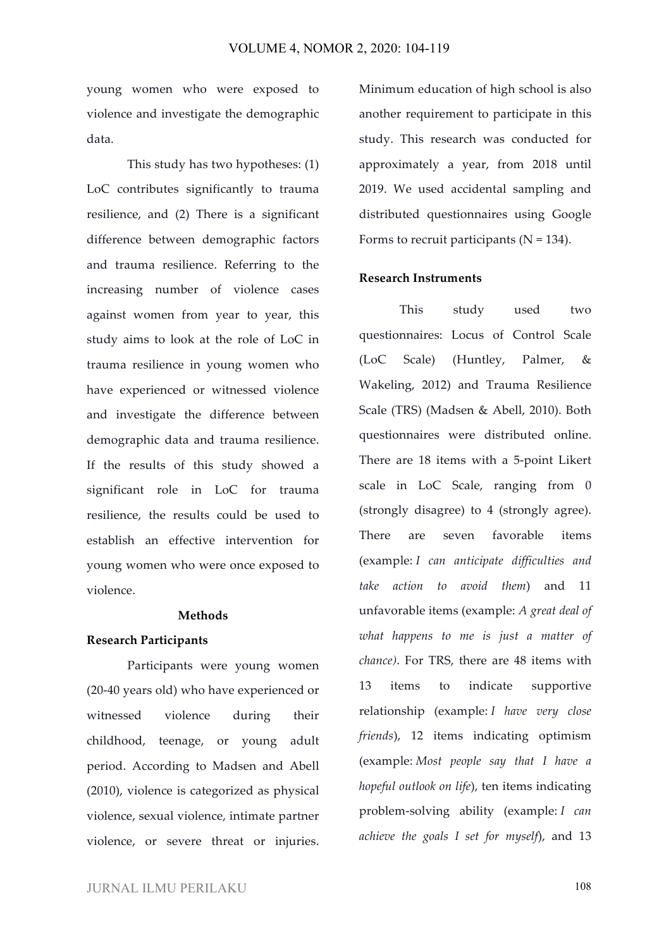young women who were exposed to violence and investigate the demographic data.

This study has two hypotheses: (1) LoC contributes significantly to trauma resilience, and (2) There is a significant difference between demographic factors and trauma resilience. Referring to the increasing number of violence cases against women from year to year, this study aims to look at the role of LoC in trauma resilience in young women who have experienced or witnessed violence and investigate the difference between demographic data and trauma resilience. If the results of this study showed a significant role in LoC for trauma resilience, the results could be used to establish an effective intervention for young women who were once exposed to violence.

## **Methods**

#### **Research Participants**

Participants were young women (20-40 years old) who have experienced or witnessed violence during their childhood, teenage, or young adult period. According to Madsen and Abell (2010), violence is categorized as physical violence, sexual violence, intimate partner violence, or severe threat or injuries.

Minimum education of high school is also another requirement to participate in this study. This research was conducted for approximately a year, from 2018 until 2019. We used accidental sampling and distributed questionnaires using Google Forms to recruit participants ( $N = 134$ ).

## **Research Instruments**

This study used two questionnaires: Locus of Control Scale (LoC Scale) (Huntley, Palmer, & Wakeling, 2012) and Trauma Resilience Scale (TRS) (Madsen & Abell, 2010). Both questionnaires were distributed online. There are 18 items with a 5-point Likert scale in LoC Scale, ranging from 0 (strongly disagree) to 4 (strongly agree). There are seven favorable items (example: *I can anticipate difficulties and take action to avoid them*) and 11 unfavorable items (example: *A great deal of what happens to me is just a matter of chance)*. For TRS, there are 48 items with 13 items to indicate supportive relationship (example: *I have very close friends*), 12 items indicating optimism (example: *Most people say that I have a hopeful outlook on life*), ten items indicating problem-solving ability (example: *I can achieve the goals I set for myself*), and 13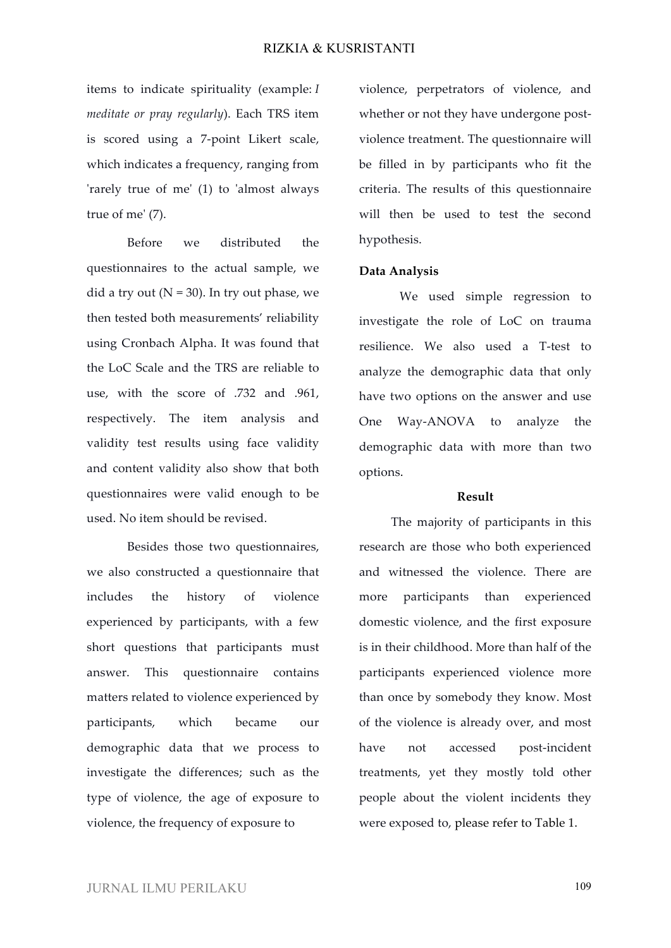items to indicate spirituality (example: *I meditate or pray regularly*). Each TRS item is scored using a 7-point Likert scale, which indicates a frequency, ranging from 'rarely true of me' (1) to 'almost always true of me' (7).

Before we distributed the questionnaires to the actual sample, we did a try out  $(N = 30)$ . In try out phase, we then tested both measurements' reliability using Cronbach Alpha. It was found that the LoC Scale and the TRS are reliable to use, with the score of .732 and .961, respectively. The item analysis and validity test results using face validity and content validity also show that both questionnaires were valid enough to be used. No item should be revised.

Besides those two questionnaires, we also constructed a questionnaire that includes the history of violence experienced by participants, with a few short questions that participants must answer. This questionnaire contains matters related to violence experienced by participants, which became our demographic data that we process to investigate the differences; such as the type of violence, the age of exposure to violence, the frequency of exposure to

violence, perpetrators of violence, and whether or not they have undergone postviolence treatment. The questionnaire will be filled in by participants who fit the criteria. The results of this questionnaire will then be used to test the second hypothesis.

#### **Data Analysis**

We used simple regression to investigate the role of LoC on trauma resilience. We also used a T-test to analyze the demographic data that only have two options on the answer and use One Way-ANOVA to analyze the demographic data with more than two options.

#### **Result**

The majority of participants in this research are those who both experienced and witnessed the violence. There are more participants than experienced domestic violence, and the first exposure is in their childhood. More than half of the participants experienced violence more than once by somebody they know. Most of the violence is already over, and most have not accessed post-incident treatments, yet they mostly told other people about the violent incidents they were exposed to, please refer to Table 1.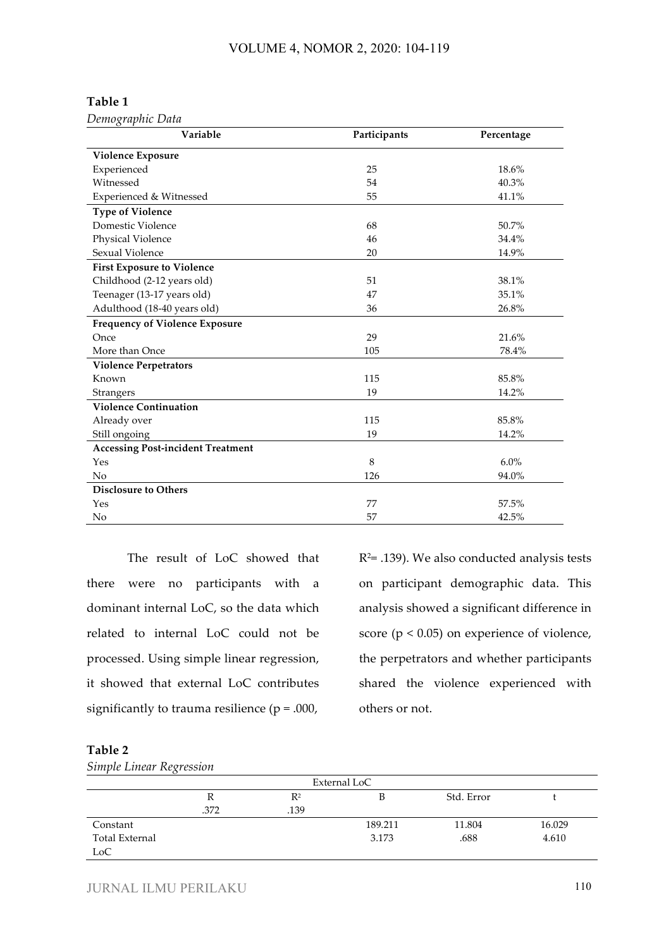## **Table 1**

*Demographic Data*

| Variable                                 | Participants | Percentage |
|------------------------------------------|--------------|------------|
| <b>Violence Exposure</b>                 |              |            |
| Experienced                              | 25           | 18.6%      |
| Witnessed                                | 54           | 40.3%      |
| Experienced & Witnessed                  | 55           | 41.1%      |
| <b>Type of Violence</b>                  |              |            |
| Domestic Violence                        | 68           | 50.7%      |
| Physical Violence                        | 46           | 34.4%      |
| Sexual Violence                          | 20           | 14.9%      |
| <b>First Exposure to Violence</b>        |              |            |
| Childhood (2-12 years old)               | 51           | 38.1%      |
| Teenager (13-17 years old)               | 47           | 35.1%      |
| Adulthood (18-40 years old)              | 36           | 26.8%      |
| <b>Frequency of Violence Exposure</b>    |              |            |
| Once                                     | 29           | 21.6%      |
| More than Once                           | 105          | 78.4%      |
| <b>Violence Perpetrators</b>             |              |            |
| Known                                    | 115          | 85.8%      |
| Strangers                                | 19           | 14.2%      |
| <b>Violence Continuation</b>             |              |            |
| Already over                             | 115          | 85.8%      |
| Still ongoing                            | 19           | 14.2%      |
| <b>Accessing Post-incident Treatment</b> |              |            |
| Yes                                      | 8            | $6.0\%$    |
| No                                       | 126          | 94.0%      |
| <b>Disclosure to Others</b>              |              |            |
| Yes                                      | 77           | 57.5%      |
| No                                       | 57           | 42.5%      |

The result of LoC showed that there were no participants with a dominant internal LoC, so the data which related to internal LoC could not be processed. Using simple linear regression, it showed that external LoC contributes significantly to trauma resilience ( $p = .000$ ,

 $R<sup>2</sup>=$  .139). We also conducted analysis tests on participant demographic data. This analysis showed a significant difference in score ( $p < 0.05$ ) on experience of violence, the perpetrators and whether participants shared the violence experienced with others or not.

## **Table 2**

*Simple Linear Regression*

| External LoC          |      |       |         |            |        |
|-----------------------|------|-------|---------|------------|--------|
|                       | R    | $R^2$ |         | Std. Error |        |
|                       | .372 | .139  |         |            |        |
| Constant              |      |       | 189.211 | 11.804     | 16.029 |
| <b>Total External</b> |      |       | 3.173   | .688       | 4.610  |
| LoC                   |      |       |         |            |        |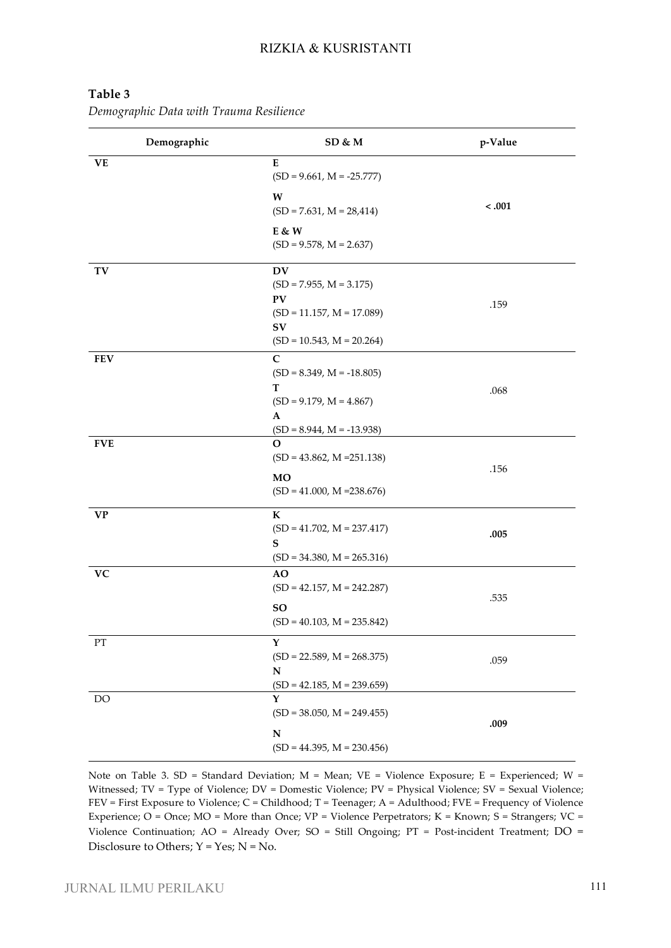| Demographic              | SD & M                                                                                                           | p-Value |
|--------------------------|------------------------------------------------------------------------------------------------------------------|---------|
| <b>VE</b>                | E<br>$(SD = 9.661, M = -25.777)$                                                                                 |         |
|                          | W<br>$(SD = 7.631, M = 28,414)$                                                                                  | $-.001$ |
|                          | E & W<br>$(SD = 9.578, M = 2.637)$                                                                               |         |
| TV                       | <b>DV</b><br>$(SD = 7.955, M = 3.175)$<br>PV<br>$(SD = 11.157, M = 17.089)$<br>SV<br>$(SD = 10.543, M = 20.264)$ | .159    |
| <b>FEV</b>               | $\mathbf C$<br>$(SD = 8.349, M = -18.805)$<br>т<br>$(SD = 9.179, M = 4.867)$<br>A<br>$(SD = 8.944, M = -13.938)$ | .068    |
| <b>FVE</b>               | $\mathbf O$<br>$(SD = 43.862, M = 251.138)$<br><b>MO</b><br>$(SD = 41.000, M = 238.676)$                         | .156    |
| <b>VP</b>                | $\mathbf K$<br>$(SD = 41.702, M = 237.417)$<br>S<br>$(SD = 34.380, M = 265.316)$                                 | .005    |
| ${\bf VC}$               | <b>AO</b><br>$(SD = 42.157, M = 242.287)$<br><b>SO</b><br>$(SD = 40.103, M = 235.842)$                           | .535    |
| $\mathcal{P}\mathcal{T}$ | Y<br>$(SD = 22.589, M = 268.375)$<br>N<br>$(SD = 42.185, M = 239.659)$                                           | .059    |
| DO                       | Y<br>$(SD = 38.050, M = 249.455)$<br>$\mathbf N$<br>$(SD = 44.395, M = 230.456)$                                 | .009    |

# **Table 3**

*Demographic Data with Trauma Resilience*

Note on Table 3. SD = Standard Deviation; M = Mean; VE = Violence Exposure; E = Experienced; W = Witnessed; TV = Type of Violence; DV = Domestic Violence; PV = Physical Violence; SV = Sexual Violence; FEV = First Exposure to Violence; C = Childhood; T = Teenager; A = Adulthood; FVE = Frequency of Violence Experience; O = Once; MO = More than Once;  $VP =$  Violence Perpetrators; K = Known; S = Strangers; VC = Violence Continuation; AO = Already Over; SO = Still Ongoing; PT = Post-incident Treatment; DO = Disclosure to Others;  $Y = Yes$ ;  $N = No$ .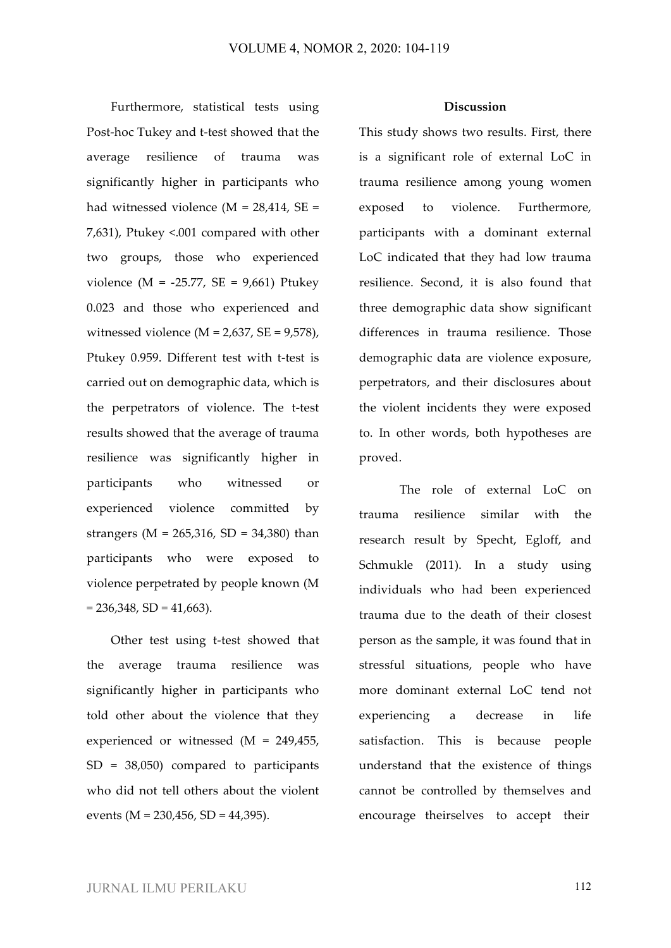Furthermore, statistical tests using Post-hoc Tukey and t-test showed that the average resilience of trauma was significantly higher in participants who had witnessed violence ( $M = 28,414$ ,  $SE =$ 7,631), Ptukey <.001 compared with other two groups, those who experienced violence ( $M = -25.77$ ,  $SE = 9,661$ ) Ptukey 0.023 and those who experienced and witnessed violence ( $M = 2,637$ ,  $SE = 9,578$ ), Ptukey 0.959. Different test with t-test is carried out on demographic data, which is the perpetrators of violence. The t-test results showed that the average of trauma resilience was significantly higher in participants who witnessed or experienced violence committed by strangers ( $M = 265,316$ ,  $SD = 34,380$ ) than participants who were exposed to violence perpetrated by people known (M  $= 236,348, SD = 41,663$ .

Other test using t-test showed that the average trauma resilience was significantly higher in participants who told other about the violence that they experienced or witnessed (M = 249,455, SD = 38,050) compared to participants who did not tell others about the violent events (M = 230,456, SD = 44,395).

## **Discussion**

This study shows two results. First, there is a significant role of external LoC in trauma resilience among young women exposed to violence. Furthermore, participants with a dominant external LoC indicated that they had low trauma resilience. Second, it is also found that three demographic data show significant differences in trauma resilience. Those demographic data are violence exposure, perpetrators, and their disclosures about the violent incidents they were exposed to. In other words, both hypotheses are proved.

The role of external LoC on trauma resilience similar with the research result by Specht, Egloff, and Schmukle (2011). In a study using individuals who had been experienced trauma due to the death of their closest person as the sample, it was found that in stressful situations, people who have more dominant external LoC tend not experiencing a decrease in life satisfaction. This is because people understand that the existence of things cannot be controlled by themselves and encourage theirselves to accept their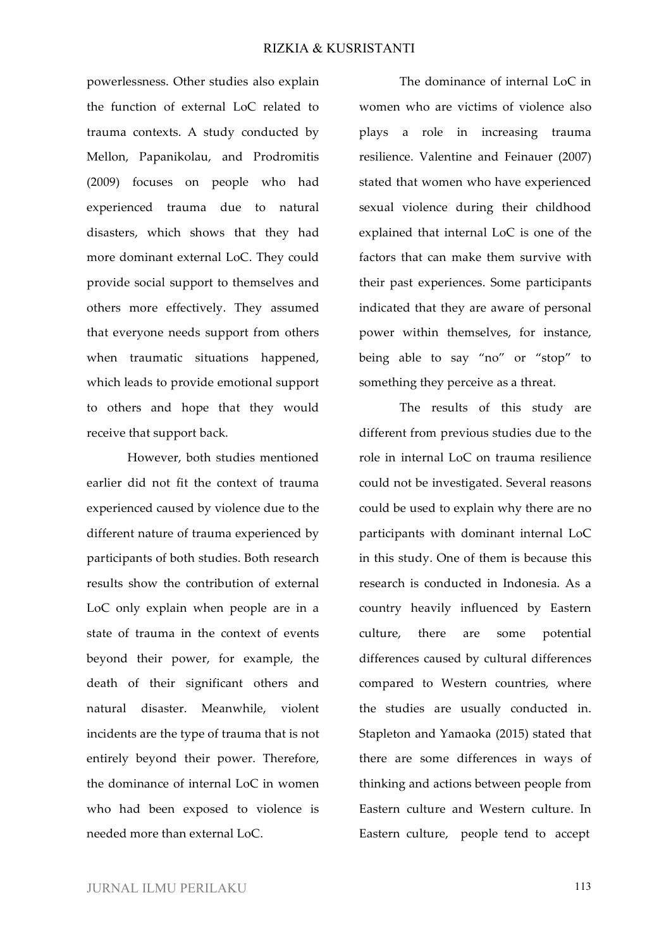powerlessness. Other studies also explain the function of external LoC related to trauma contexts. A study conducted by Mellon, Papanikolau, and Prodromitis (2009) focuses on people who had experienced trauma due to natural disasters, which shows that they had more dominant external LoC. They could provide social support to themselves and others more effectively. They assumed that everyone needs support from others when traumatic situations happened, which leads to provide emotional support to others and hope that they would receive that support back.

However, both studies mentioned earlier did not fit the context of trauma experienced caused by violence due to the different nature of trauma experienced by participants of both studies. Both research results show the contribution of external LoC only explain when people are in a state of trauma in the context of events beyond their power, for example, the death of their significant others and natural disaster. Meanwhile, violent incidents are the type of trauma that is not entirely beyond their power. Therefore, the dominance of internal LoC in women who had been exposed to violence is needed more than external LoC.

The dominance of internal LoC in women who are victims of violence also plays a role in increasing trauma resilience. Valentine and Feinauer (2007) stated that women who have experienced sexual violence during their childhood explained that internal LoC is one of the factors that can make them survive with their past experiences. Some participants indicated that they are aware of personal power within themselves, for instance, being able to say "no" or "stop" to something they perceive as a threat.

The results of this study are different from previous studies due to the role in internal LoC on trauma resilience could not be investigated. Several reasons could be used to explain why there are no participants with dominant internal LoC in this study. One of them is because this research is conducted in Indonesia. As a country heavily influenced by Eastern culture, there are some potential differences caused by cultural differences compared to Western countries, where the studies are usually conducted in. Stapleton and Yamaoka (2015) stated that there are some differences in ways of thinking and actions between people from Eastern culture and Western culture. In Eastern culture, people tend to accept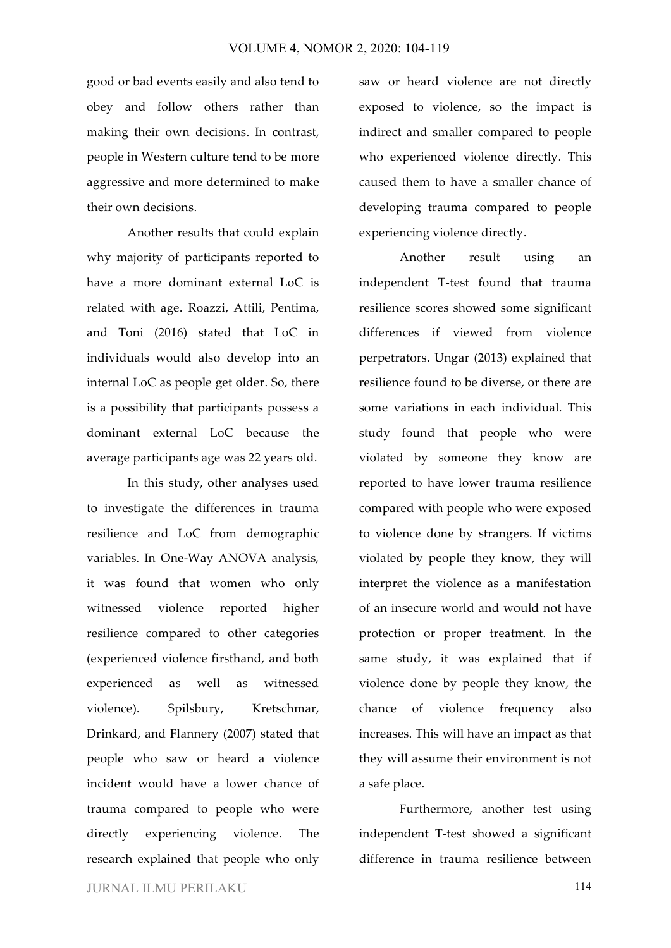good or bad events easily and also tend to obey and follow others rather than making their own decisions. In contrast, people in Western culture tend to be more aggressive and more determined to make their own decisions.

Another results that could explain why majority of participants reported to have a more dominant external LoC is related with age. Roazzi, Attili, Pentima, and Toni (2016) stated that LoC in individuals would also develop into an internal LoC as people get older. So, there is a possibility that participants possess a dominant external LoC because the average participants age was 22 years old.

In this study, other analyses used to investigate the differences in trauma resilience and LoC from demographic variables. In One-Way ANOVA analysis, it was found that women who only witnessed violence reported higher resilience compared to other categories (experienced violence firsthand, and both experienced as well as witnessed violence). Spilsbury, Kretschmar, Drinkard, and Flannery (2007) stated that people who saw or heard a violence incident would have a lower chance of trauma compared to people who were directly experiencing violence. The research explained that people who only

saw or heard violence are not directly exposed to violence, so the impact is indirect and smaller compared to people who experienced violence directly. This caused them to have a smaller chance of developing trauma compared to people experiencing violence directly.

Another result using an independent T-test found that trauma resilience scores showed some significant differences if viewed from violence perpetrators. Ungar (2013) explained that resilience found to be diverse, or there are some variations in each individual. This study found that people who were violated by someone they know are reported to have lower trauma resilience compared with people who were exposed to violence done by strangers. If victims violated by people they know, they will interpret the violence as a manifestation of an insecure world and would not have protection or proper treatment. In the same study, it was explained that if violence done by people they know, the chance of violence frequency also increases. This will have an impact as that they will assume their environment is not a safe place.

Furthermore, another test using independent T-test showed a significant difference in trauma resilience between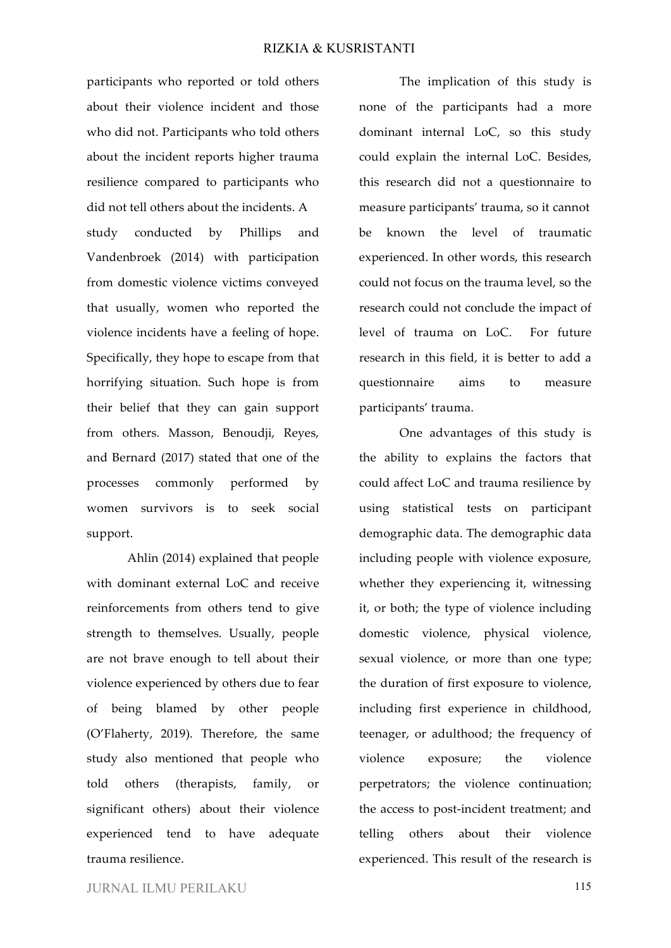participants who reported or told others about their violence incident and those who did not. Participants who told others about the incident reports higher trauma resilience compared to participants who did not tell others about the incidents. A study conducted by Phillips and Vandenbroek (2014) with participation from domestic violence victims conveyed that usually, women who reported the violence incidents have a feeling of hope. Specifically, they hope to escape from that horrifying situation. Such hope is from their belief that they can gain support from others. Masson, Benoudji, Reyes, and Bernard (2017) stated that one of the processes commonly performed by women survivors is to seek social support.

Ahlin (2014) explained that people with dominant external LoC and receive reinforcements from others tend to give strength to themselves. Usually, people are not brave enough to tell about their violence experienced by others due to fear of being blamed by other people (O'Flaherty, 2019). Therefore, the same study also mentioned that people who told others (therapists, family, or significant others) about their violence experienced tend to have adequate trauma resilience.

The implication of this study is none of the participants had a more dominant internal LoC, so this study could explain the internal LoC. Besides, this research did not a questionnaire to measure participants' trauma, so it cannot be known the level of traumatic experienced. In other words, this research could not focus on the trauma level, so the research could not conclude the impact of level of trauma on LoC. For future research in this field, it is better to add a questionnaire aims to measure participants' trauma.

One advantages of this study is the ability to explains the factors that could affect LoC and trauma resilience by using statistical tests on participant demographic data. The demographic data including people with violence exposure, whether they experiencing it, witnessing it, or both; the type of violence including domestic violence, physical violence, sexual violence, or more than one type; the duration of first exposure to violence, including first experience in childhood, teenager, or adulthood; the frequency of violence exposure; the violence perpetrators; the violence continuation; the access to post-incident treatment; and telling others about their violence experienced. This result of the research is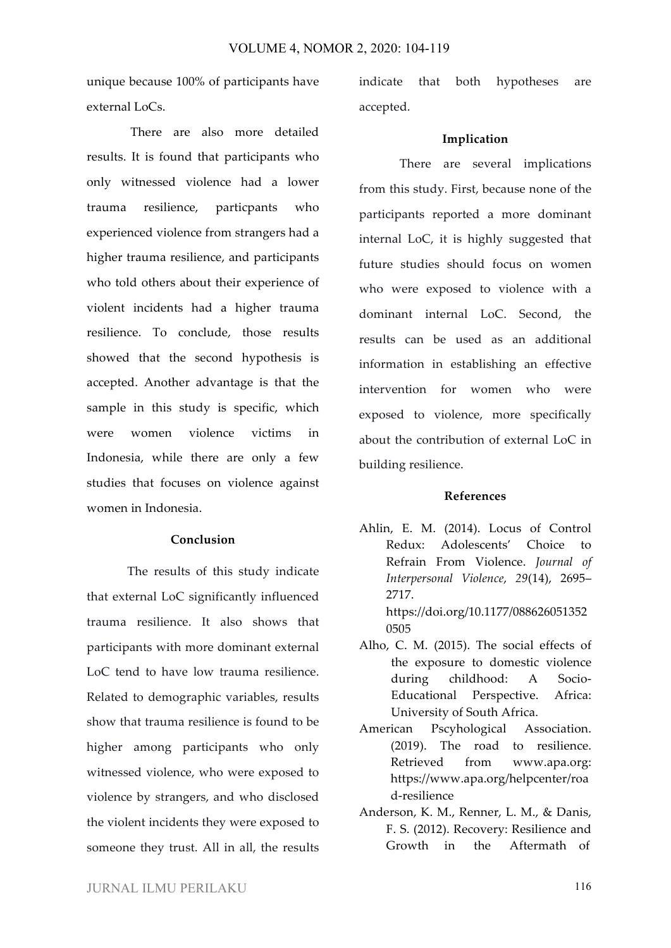unique because 100% of participants have external LoCs.

There are also more detailed results. It is found that participants who only witnessed violence had a lower trauma resilience, particpants who experienced violence from strangers had a higher trauma resilience, and participants who told others about their experience of violent incidents had a higher trauma resilience. To conclude, those results showed that the second hypothesis is accepted. Another advantage is that the sample in this study is specific, which were women violence victims in Indonesia, while there are only a few studies that focuses on violence against women in Indonesia.

## **Conclusion**

The results of this study indicate that external LoC significantly influenced trauma resilience. It also shows that participants with more dominant external LoC tend to have low trauma resilience. Related to demographic variables, results show that trauma resilience is found to be higher among participants who only witnessed violence, who were exposed to violence by strangers, and who disclosed the violent incidents they were exposed to someone they trust. All in all, the results indicate that both hypotheses are accepted.

## **Implication**

There are several implications from this study. First, because none of the participants reported a more dominant internal LoC, it is highly suggested that future studies should focus on women who were exposed to violence with a dominant internal LoC. Second, the results can be used as an additional information in establishing an effective intervention for women who were exposed to violence, more specifically about the contribution of external LoC in building resilience.

#### **References**

- Ahlin, E. M. (2014). Locus of Control Redux: Adolescents' Choice to Refrain From Violence. *Journal of Interpersonal Violence*, *29*(14), 2695– 2717. https://doi.org/10.1177/088626051352 0505
- Alho, C. M. (2015). The social effects of the exposure to domestic violence during childhood: A Socio-Educational Perspective. Africa: University of South Africa.
- American Pscyhological Association. (2019). The road to resilience. Retrieved from www.apa.org: https://www.apa.org/helpcenter/roa d-resilience
- Anderson, K. M., Renner, L. M., & Danis, F. S. (2012). Recovery: Resilience and Growth in the Aftermath of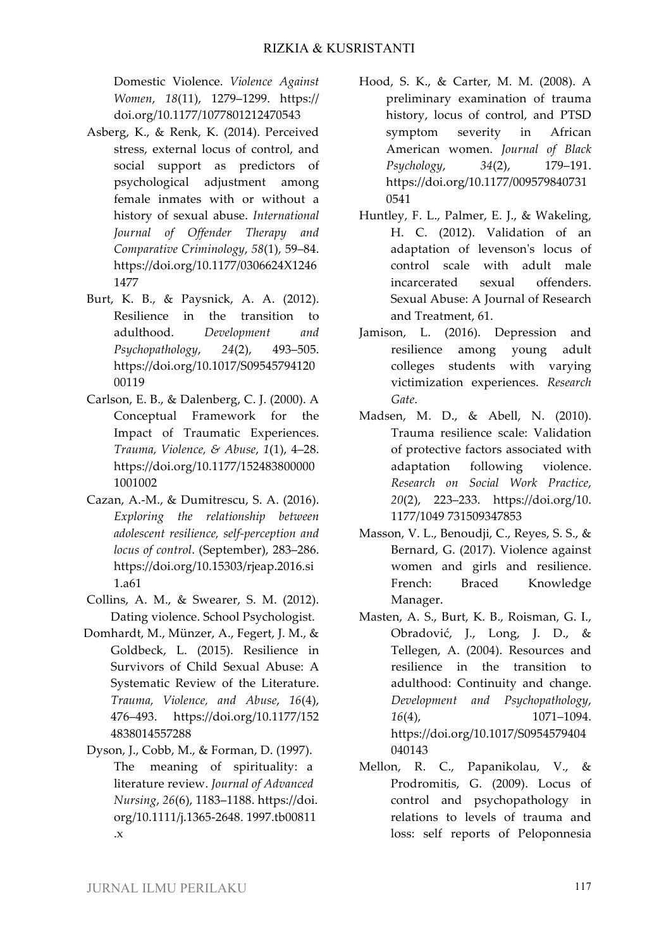Domestic Violence. *Violence Against Women*, *18*(11), 1279–1299. https:// doi.org/10.1177/1077801212470543

- Asberg, K., & Renk, K. (2014). Perceived stress, external locus of control, and social support as predictors of psychological adjustment among female inmates with or without a history of sexual abuse. *International Journal of Offender Therapy and Comparative Criminology*, *58*(1), 59–84. https://doi.org/10.1177/0306624X1246 1477
- Burt, K. B., & Paysnick, A. A. (2012). Resilience in the transition to adulthood. *Development and Psychopathology*, *24*(2), 493–505. https://doi.org/10.1017/S09545794120 00119
- Carlson, E. B., & Dalenberg, C. J. (2000). A Conceptual Framework for the Impact of Traumatic Experiences. *Trauma, Violence, & Abuse*, *1*(1), 4–28. https://doi.org/10.1177/152483800000 1001002
- Cazan, A.-M., & Dumitrescu, S. A. (2016). *Exploring the relationship between adolescent resilience, self-perception and locus of control*. (September), 283–286. https://doi.org/10.15303/rjeap.2016.si 1.a61
- Collins, A. M., & Swearer, S. M. (2012). Dating violence. School Psychologist.
- Domhardt, M., Münzer, A., Fegert, J. M., & Goldbeck, L. (2015). Resilience in Survivors of Child Sexual Abuse: A Systematic Review of the Literature. *Trauma, Violence, and Abuse*, *16*(4), 476–493. https://doi.org/10.1177/152 4838014557288
- Dyson, J., Cobb, M., & Forman, D. (1997). The meaning of spirituality: a literature review. *Journal of Advanced Nursing*, *26*(6), 1183–1188. https://doi. org/10.1111/j.1365-2648. 1997.tb00811 .x
- Hood, S. K., & Carter, M. M. (2008). A preliminary examination of trauma history, locus of control, and PTSD symptom severity in African American women. *Journal of Black Psychology*, *34*(2), 179–191. https://doi.org/10.1177/009579840731 0541
- Huntley, F. L., Palmer, E. J., & Wakeling, H. C. (2012). Validation of an adaptation of levenson's locus of control scale with adult male incarcerated sexual offenders. Sexual Abuse: A Journal of Research and Treatment, 61.
- Jamison, L. (2016). Depression and resilience among young adult colleges students with varying victimization experiences. *Research Gate*.
- Madsen, M. D., & Abell, N. (2010). Trauma resilience scale: Validation of protective factors associated with adaptation following violence. *Research on Social Work Practice*, *20*(2), 223–233. https://doi.org/10. 1177/1049 731509347853
- Masson, V. L., Benoudji, C., Reyes, S. S., & Bernard, G. (2017). Violence against women and girls and resilience. French: Braced Knowledge Manager.
- Masten, A. S., Burt, K. B., Roisman, G. I., Obradović, J., Long, J. D., & Tellegen, A. (2004). Resources and resilience in the transition to adulthood: Continuity and change. *Development and Psychopathology*, *16*(4), 1071–1094. https://doi.org/10.1017/S0954579404 040143
- Mellon, R. C., Papanikolau, V., & Prodromitis, G. (2009). Locus of control and psychopathology in relations to levels of trauma and loss: self reports of Peloponnesia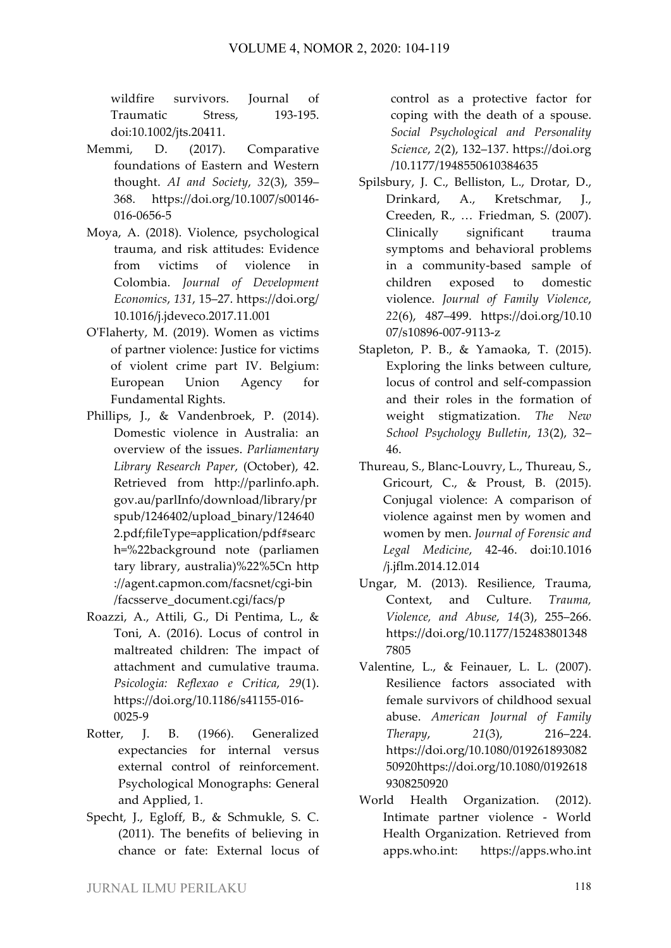wildfire survivors. Journal of Traumatic Stress, 193-195. doi:10.1002/jts.20411.

- Memmi, D. (2017). Comparative foundations of Eastern and Western thought. *AI and Society*, *32*(3), 359– 368. https://doi.org/10.1007/s00146- 016-0656-5
- Moya, A. (2018). Violence, psychological trauma, and risk attitudes: Evidence from victims of violence in Colombia. *Journal of Development Economics*, *131*, 15–27. https://doi.org/ 10.1016/j.jdeveco.2017.11.001
- O'Flaherty, M. (2019). Women as victims of partner violence: Justice for victims of violent crime part IV. Belgium: European Union Agency for Fundamental Rights.
- Phillips, J., & Vandenbroek, P. (2014). Domestic violence in Australia: an overview of the issues. *Parliamentary Library Research Paper*, (October), 42. Retrieved from http://parlinfo.aph. gov.au/parlInfo/download/library/pr spub/1246402/upload\_binary/124640 2.pdf;fileType=application/pdf#searc h=%22background note (parliamen tary library, australia)%22%5Cn http ://agent.capmon.com/facsnet/cgi-bin /facsserve\_document.cgi/facs/p
- Roazzi, A., Attili, G., Di Pentima, L., & Toni, A. (2016). Locus of control in maltreated children: The impact of attachment and cumulative trauma. *Psicologia: Reflexao e Critica*, *29*(1). https://doi.org/10.1186/s41155-016- 0025-9
- Rotter, J. B. (1966). Generalized expectancies for internal versus external control of reinforcement. Psychological Monographs: General and Applied, 1.
- Specht, J., Egloff, B., & Schmukle, S. C. (2011). The benefits of believing in chance or fate: External locus of

control as a protective factor for coping with the death of a spouse. *Social Psychological and Personality Science*, *2*(2), 132–137. https://doi.org /10.1177/1948550610384635

- Spilsbury, J. C., Belliston, L., Drotar, D., Drinkard, A., Kretschmar, J., Creeden, R., … Friedman, S. (2007). Clinically significant trauma symptoms and behavioral problems in a community-based sample of children exposed to domestic violence. *Journal of Family Violence*, *22*(6), 487–499. https://doi.org/10.10 07/s10896-007-9113-z
- Stapleton, P. B., & Yamaoka, T. (2015). Exploring the links between culture, locus of control and self-compassion and their roles in the formation of weight stigmatization. *The New School Psychology Bulletin*, *13*(2), 32– 46.
- Thureau, S., Blanc-Louvry, L., Thureau, S., Gricourt, C., & Proust, B. (2015). Conjugal violence: A comparison of violence against men by women and women by men. *Journal of Forensic and Legal Medicine*, 42-46. doi:10.1016 /j.jflm.2014.12.014
- Ungar, M. (2013). Resilience, Trauma, Context, and Culture. *Trauma, Violence, and Abuse*, *14*(3), 255–266. https://doi.org/10.1177/152483801348 7805
- Valentine, L., & Feinauer, L. L. (2007). Resilience factors associated with female survivors of childhood sexual abuse. *American Journal of Family Therapy*, *21*(3), 216–224. https://doi.org/10.1080/019261893082 50920https://doi.org/10.1080/0192618 9308250920
- World Health Organization. (2012). Intimate partner violence - World Health Organization. Retrieved from apps.who.int: https://apps.who.int